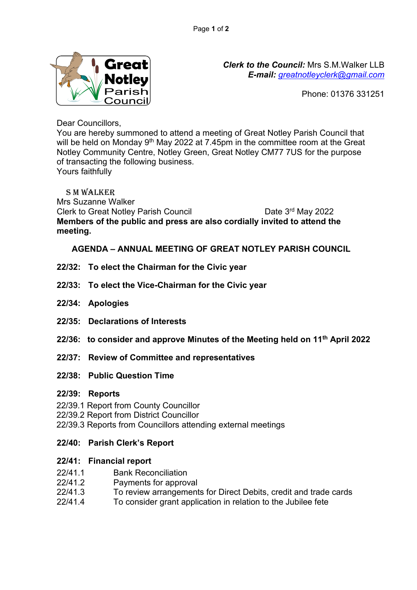

*Clerk to the Council:* Mrs S.M.Walker LLB *E-mail: [greatnotleyclerk@gmail.com](mailto:greatnotleyclerk@gmail.com)*

Phone: 01376 331251

Dear Councillors,

You are hereby summoned to attend a meeting of Great Notley Parish Council that will be held on Monday 9<sup>th</sup> May 2022 at 7.45pm in the committee room at the Great Notley Community Centre, Notley Green, Great Notley CM77 7US for the purpose of transacting the following business. Yours faithfully

 S M Walker Mrs Suzanne Walker Clerk to Great Notley Parish Council Date 3rd May 2022 **Members of the public and press are also cordially invited to attend the meeting.** 

**AGENDA – ANNUAL MEETING OF GREAT NOTLEY PARISH COUNCIL**

- **22/32: To elect the Chairman for the Civic year**
- **22/33: To elect the Vice-Chairman for the Civic year**
- **22/34: Apologies**
- **22/35: Declarations of Interests**
- **22/36: to consider and approve Minutes of the Meeting held on 11th April 2022**
- **22/37: Review of Committee and representatives**
- **22/38: Public Question Time**

# **22/39: Reports**

- 22/39.1 Report from County Councillor
- 22/39.2 Report from District Councillor
- 22/39.3 Reports from Councillors attending external meetings

# **22/40: Parish Clerk's Report**

# **22/41: Financial report**

- 22/41.1 Bank Reconciliation
- 22/41.2 Payments for approval
- 22/41.3 To review arrangements for Direct Debits, credit and trade cards
- 22/41.4 To consider grant application in relation to the Jubilee fete